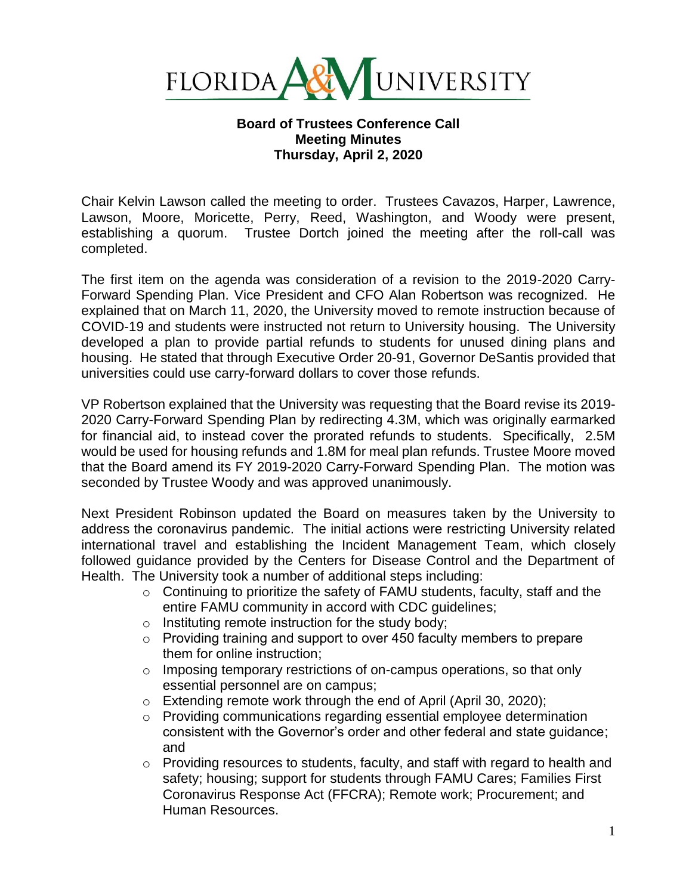

## **Board of Trustees Conference Call Meeting Minutes Thursday, April 2, 2020**

Chair Kelvin Lawson called the meeting to order. Trustees Cavazos, Harper, Lawrence, Lawson, Moore, Moricette, Perry, Reed, Washington, and Woody were present, establishing a quorum. Trustee Dortch joined the meeting after the roll-call was completed.

The first item on the agenda was consideration of a revision to the 2019-2020 Carry-Forward Spending Plan. Vice President and CFO Alan Robertson was recognized. He explained that on March 11, 2020, the University moved to remote instruction because of COVID-19 and students were instructed not return to University housing. The University developed a plan to provide partial refunds to students for unused dining plans and housing. He stated that through Executive Order 20-91, Governor DeSantis provided that universities could use carry-forward dollars to cover those refunds.

VP Robertson explained that the University was requesting that the Board revise its 2019- 2020 Carry-Forward Spending Plan by redirecting 4.3M, which was originally earmarked for financial aid, to instead cover the prorated refunds to students. Specifically, 2.5M would be used for housing refunds and 1.8M for meal plan refunds. Trustee Moore moved that the Board amend its FY 2019-2020 Carry-Forward Spending Plan. The motion was seconded by Trustee Woody and was approved unanimously.

Next President Robinson updated the Board on measures taken by the University to address the coronavirus pandemic. The initial actions were restricting University related international travel and establishing the Incident Management Team, which closely followed guidance provided by the Centers for Disease Control and the Department of Health. The University took a number of additional steps including:

- $\circ$  Continuing to prioritize the safety of FAMU students, faculty, staff and the entire FAMU community in accord with CDC guidelines;
- $\circ$  Instituting remote instruction for the study body;
- o Providing training and support to over 450 faculty members to prepare them for online instruction;
- $\circ$  Imposing temporary restrictions of on-campus operations, so that only essential personnel are on campus;
- o Extending remote work through the end of April (April 30, 2020);
- o Providing communications regarding essential employee determination consistent with the Governor's order and other federal and state guidance; and
- $\circ$  Providing resources to students, faculty, and staff with regard to health and safety; housing; support for students through FAMU Cares; Families First Coronavirus Response Act (FFCRA); Remote work; Procurement; and Human Resources.